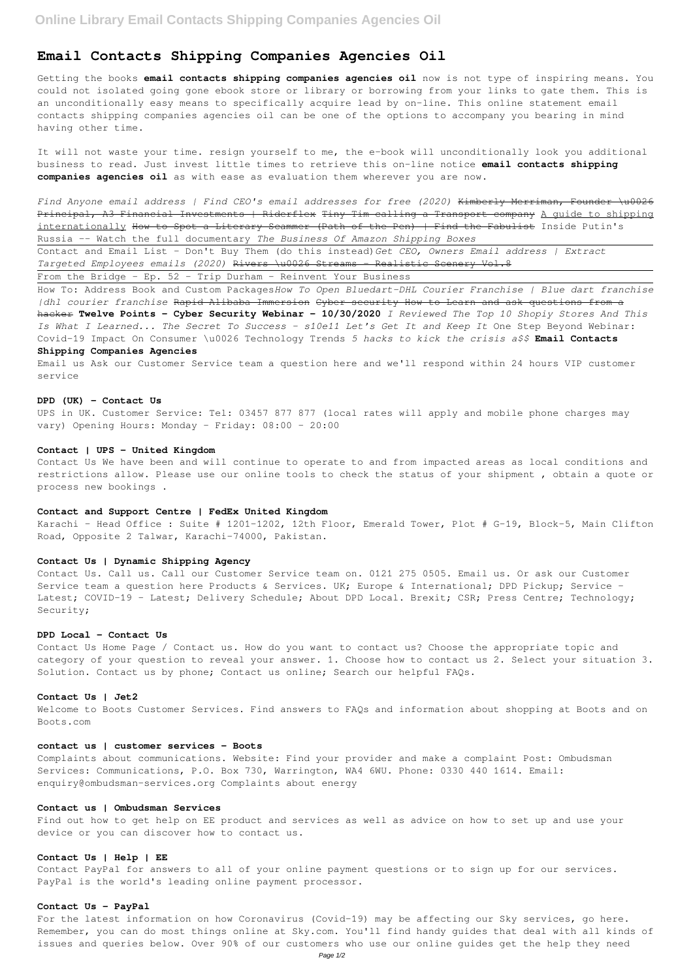# **Email Contacts Shipping Companies Agencies Oil**

Getting the books **email contacts shipping companies agencies oil** now is not type of inspiring means. You could not isolated going gone ebook store or library or borrowing from your links to gate them. This is an unconditionally easy means to specifically acquire lead by on-line. This online statement email contacts shipping companies agencies oil can be one of the options to accompany you bearing in mind having other time.

It will not waste your time. resign yourself to me, the e-book will unconditionally look you additional business to read. Just invest little times to retrieve this on-line notice **email contacts shipping companies agencies oil** as with ease as evaluation them wherever you are now.

*Find Anyone email address | Find CEO's email addresses for free (2020)* Kimberly Merriman, Founder \u0026 Principal, A3 Financial Investments | Riderflex Tiny Tim calling a Transport company A quide to shipping internationally How to Spot a Literary Scammer (Path of the Pen) | Find the Fabulist Inside Putin's Russia -- Watch the full documentary *The Business Of Amazon Shipping Boxes*

UPS in UK. Customer Service: Tel: 03457 877 877 (local rates will apply and mobile phone charges may vary) Opening Hours: Monday - Friday: 08:00 - 20:00

Contact and Email List - Don't Buy Them (do this instead)*Get CEO, Owners Email address | Extract Targeted Employees emails (2020)* Rivers \u0026 Streams - Realistic Scenery Vol.8

From the Bridge - Ep. 52 - Trip Durham - Reinvent Your Business

Contact Us Home Page / Contact us. How do you want to contact us? Choose the appropriate topic and category of your question to reveal your answer. 1. Choose how to contact us 2. Select your situation 3. Solution. Contact us by phone; Contact us online; Search our helpful FAQs.

How To: Address Book and Custom Packages*How To Open Bluedart-DHL Courier Franchise | Blue dart franchise |dhl courier franchise* Rapid Alibaba Immersion Cyber security How to Learn and ask questions from a hacker **Twelve Points - Cyber Security Webinar - 10/30/2020** *I Reviewed The Top 10 Shopiy Stores And This Is What I Learned... The Secret To Success - s10e11 Let's Get It and Keep It* One Step Beyond Webinar: Covid-19 Impact On Consumer \u0026 Technology Trends *5 hacks to kick the crisis a\$\$* **Email Contacts**

#### **Shipping Companies Agencies**

Email us Ask our Customer Service team a question here and we'll respond within 24 hours VIP customer service

#### **DPD (UK) - Contact Us**

## **Contact | UPS - United Kingdom**

Contact Us We have been and will continue to operate to and from impacted areas as local conditions and restrictions allow. Please use our online tools to check the status of your shipment , obtain a quote or process new bookings .

# **Contact and Support Centre | FedEx United Kingdom**

Karachi – Head Office : Suite # 1201-1202, 12th Floor, Emerald Tower, Plot # G-19, Block-5, Main Clifton Road, Opposite 2 Talwar, Karachi-74000, Pakistan.

### **Contact Us | Dynamic Shipping Agency**

Contact Us. Call us. Call our Customer Service team on. 0121 275 0505. Email us. Or ask our Customer Service team a question here Products & Services. UK; Europe & International; DPD Pickup; Service -Latest; COVID-19 - Latest; Delivery Schedule; About DPD Local. Brexit; CSR; Press Centre; Technology; Security;

# **DPD Local - Contact Us**

## **Contact Us | Jet2**

Welcome to Boots Customer Services. Find answers to FAQs and information about shopping at Boots and on Boots.com

### **contact us | customer services - Boots**

Complaints about communications. Website: Find your provider and make a complaint Post: Ombudsman Services: Communications, P.O. Box 730, Warrington, WA4 6WU. Phone: 0330 440 1614. Email: enquiry@ombudsman-services.org Complaints about energy

# **Contact us | Ombudsman Services**

Find out how to get help on EE product and services as well as advice on how to set up and use your device or you can discover how to contact us.

## **Contact Us | Help | EE**

Contact PayPal for answers to all of your online payment questions or to sign up for our services. PayPal is the world's leading online payment processor.

# **Contact Us - PayPal**

For the latest information on how Coronavirus (Covid-19) may be affecting our Sky services, go here. Remember, you can do most things online at Sky.com. You'll find handy guides that deal with all kinds of issues and queries below. Over 90% of our customers who use our online guides get the help they need